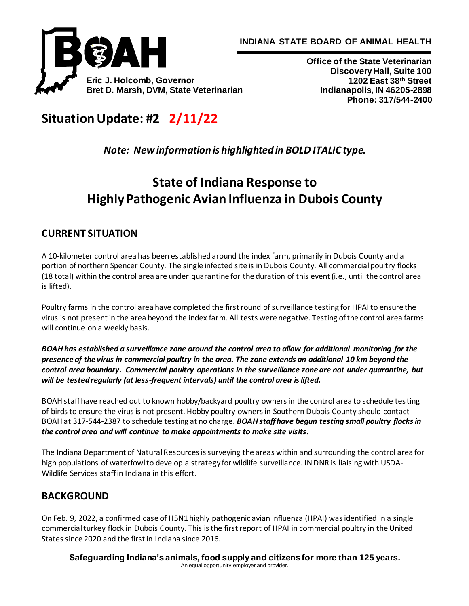



**Office of the State Veterinarian Discovery Hall, Suite 100 1202 East 38th Street Indianapolis, IN 46205-2898 Phone: 317/544-2400**

# **Situation Update: #2 2/11/22**

*Note: New information is highlighted in BOLD ITALIC type.*

# **State of Indiana Response to Highly Pathogenic Avian Influenza in Dubois County**

# **CURRENT SITUATION**

A 10-kilometer control area has been established around the index farm, primarily in Dubois County and a portion of northern Spencer County. The single infected site is in Dubois County. All commercial poultry flocks (18 total) within the control area are under quarantine for the duration of this event (i.e., until the control area is lifted).

Poultry farms in the control area have completed the first round of surveillance testing for HPAI to ensure the virus is not present in the area beyond the index farm. All tests were negative. Testing of the control area farms will continue on a weekly basis.

*BOAH has established a surveillance zone around the control area to allow for additional monitoring for the presence of the virus in commercial poultry in the area. The zone extends an additional 10 km beyond the control area boundary. Commercial poultry operations in the surveillance zone are not under quarantine, but will be tested regularly (at less-frequent intervals) until the control area is lifted.*

BOAH staff have reached out to known hobby/backyard poultry owners in the control area to schedule testing of birds to ensure the virus is not present. Hobby poultry owners in Southern Dubois County should contact BOAH at 317-544-2387 to schedule testing at no charge. *BOAH staff have begun testing small poultry flocks in the control area and will continue to make appointments to make site visits.*

The Indiana Department of Natural Resources is surveying the areas within and surrounding the control area for high populations of waterfowl to develop a strategy for wildlife surveillance. IN DNR is liaising with USDA-Wildlife Services staff in Indiana in this effort.

# **BACKGROUND**

On Feb. 9, 2022, a confirmed case of H5N1 highly pathogenic avian influenza (HPAI) was identified in a single commercial turkey flock in Dubois County. This is the first report of HPAI in commercial poultry in the United States since 2020 and the first in Indiana since 2016.

**Safeguarding Indiana's animals, food supply and citizens for more than 125 years.** An equal opportunity employer and provider.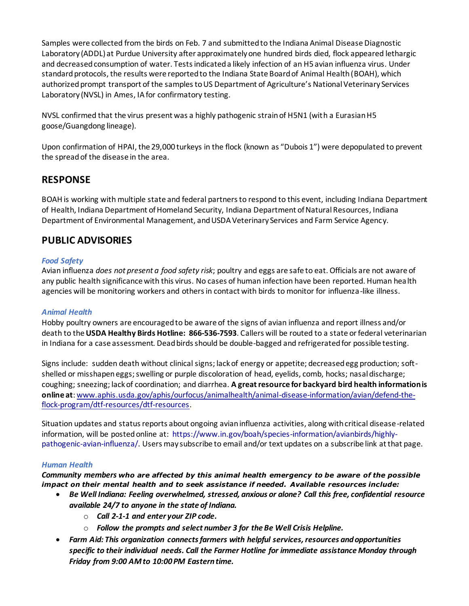Samples were collected from the birds on Feb. 7 and submitted to the Indiana Animal Disease Diagnostic Laboratory (ADDL) at Purdue University after approximately one hundred birds died, flock appeared lethargic and decreased consumption of water. Tests indicated a likely infection of an H5 avian influenza virus. Under standard protocols, the results were reported to the Indiana State Board of Animal Health (BOAH), which authorized prompt transport of the samples to US Department of Agriculture's National Veterinary Services Laboratory (NVSL) in Ames, IA for confirmatory testing.

NVSL confirmed that the virus present was a highly pathogenic strain of H5N1 (with a Eurasian H5 goose/Guangdong lineage).

Upon confirmation of HPAI, the 29,000 turkeys in the flock (known as "Dubois 1") were depopulated to prevent the spread of the disease in the area.

## **RESPONSE**

BOAH is working with multiple state and federal partners to respond to this event, including Indiana Department of Health, Indiana Department of Homeland Security, Indiana Department of Natural Resources, Indiana Department of Environmental Management, and USDA Veterinary Services and Farm Service Agency.

### **PUBLIC ADVISORIES**

#### *Food Safety*

Avian influenza *does not present a food safety risk*; poultry and eggs are safe to eat. Officials are not aware of any public health significance with this virus. No cases of human infection have been reported. Human health agencies will be monitoring workers and others in contact with birds to monitor for influenza-like illness.

#### *Animal Health*

Hobby poultry owners are encouraged to be aware of the signs of avian influenza and report illness and/or death to the **USDA Healthy Birds Hotline: 866-536-7593**. Callers will be routed to a state or federal veterinarian in Indiana for a case assessment. Dead birds should be double-bagged and refrigerated for possible testing.

Signs include: sudden death without clinical signs; lack of energy or appetite; decreased egg production; softshelled or misshapen eggs; swelling or purple discoloration of head, eyelids, comb, hocks; nasal discharge; coughing; sneezing; lack of coordination; and diarrhea. **A great resource for backyard bird health information is online at**[: www.aphis.usda.gov/aphis/ourfocus/animalhealth/animal-disease-information/avian/defend-the](http://www.aphis.usda.gov/aphis/ourfocus/animalhealth/animal-disease-information/avian/defend-the-flock-program/dtf-resources/dtf-resources)[flock-program/dtf-resources/dtf-resources](http://www.aphis.usda.gov/aphis/ourfocus/animalhealth/animal-disease-information/avian/defend-the-flock-program/dtf-resources/dtf-resources).

Situation updates and status reports about ongoing avian influenza activities, along with critical disease-related information, will be posted online at: [https://www.in.gov/boah/species-information/avianbirds/highly](https://www.in.gov/boah/species-information/avianbirds/highly-pathogenic-avian-influenza/)[pathogenic-avian-influenza/.](https://www.in.gov/boah/species-information/avianbirds/highly-pathogenic-avian-influenza/) Users may subscribe to email and/or text updates on a subscribe link at that page.

#### *Human Health*

*Community members who are affected by this animal health emergency to be aware of the possible impact on their mental health and to seek assistance if needed. Available resources include:*

- *Be Well Indiana: Feeling overwhelmed, stressed, anxious or alone? Call this free, confidential resource available 24/7 to anyone in the state of Indiana.*
	- o *Call 2-1-1 and enter your ZIP code.*
	- o *Follow the prompts and select number 3 for the Be Well Crisis Helpline.*
- *Farm Aid: This organization connects farmers with helpful services, resources and opportunities specific to their individual needs. Call the Farmer Hotline for immediate assistance Monday through Friday from 9:00 AM to 10:00 PM Eastern time.*